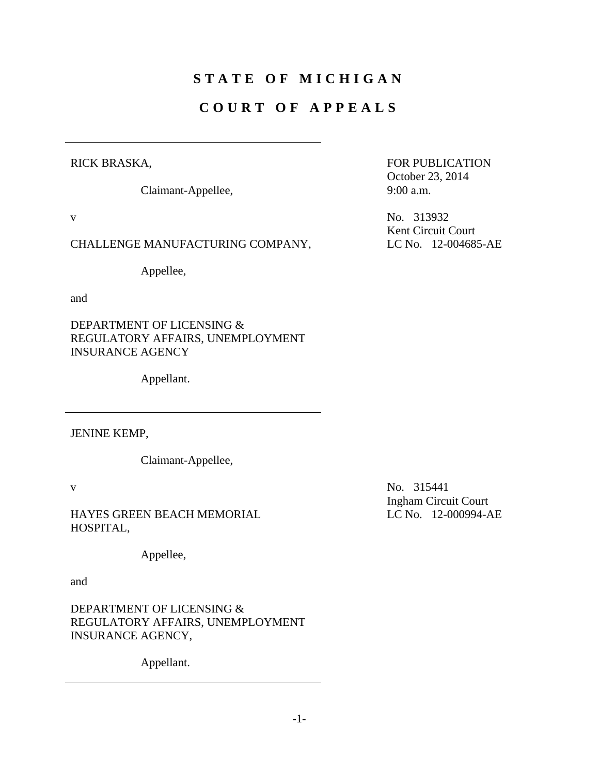# **STATE OF MICHIGAN**

# **COURT OF APPEALS**

# RICK BRASKA,

Claimant-Appellee,

# CHALLENGE MANUFACTURING COMPANY, LC No. 12-004685-AE

Appellee,

and

DEPARTMENT OF LICENSING & REGULATORY AFFAIRS, UNEMPLOYMENT INSURANCE AGENCY

Appellant.

JENINE KEMP,

Claimant-Appellee,

HAYES GREEN BEACH MEMORIAL HOSPITAL,

Appellee,

and

DEPARTMENT OF LICENSING & REGULATORY AFFAIRS, UNEMPLOYMENT INSURANCE AGENCY,

Appellant.

FOR PUBLICATION October 23, 2014 9:00 a.m.

v No. 313932 Kent Circuit Court

v No. 315441 Ingham Circuit Court LC No. 12-000994-AE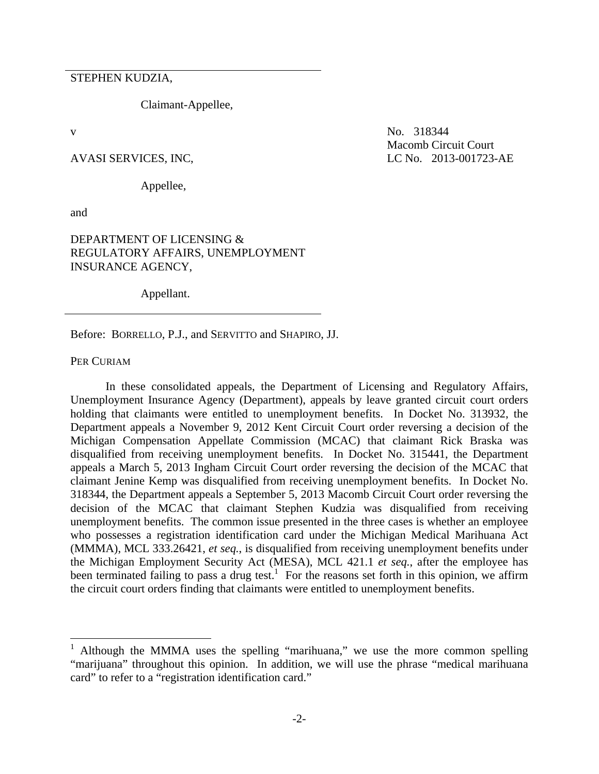STEPHEN KUDZIA,

Claimant-Appellee,

Appellee,

and

# DEPARTMENT OF LICENSING & REGULATORY AFFAIRS, UNEMPLOYMENT INSURANCE AGENCY,

Appellant.

Before: BORRELLO, P.J., and SERVITTO and SHAPIRO, JJ.

PER CURIAM

1

 In these consolidated appeals, the Department of Licensing and Regulatory Affairs, Unemployment Insurance Agency (Department), appeals by leave granted circuit court orders holding that claimants were entitled to unemployment benefits. In Docket No. 313932, the Department appeals a November 9, 2012 Kent Circuit Court order reversing a decision of the Michigan Compensation Appellate Commission (MCAC) that claimant Rick Braska was disqualified from receiving unemployment benefits. In Docket No. 315441, the Department appeals a March 5, 2013 Ingham Circuit Court order reversing the decision of the MCAC that claimant Jenine Kemp was disqualified from receiving unemployment benefits. In Docket No. 318344, the Department appeals a September 5, 2013 Macomb Circuit Court order reversing the decision of the MCAC that claimant Stephen Kudzia was disqualified from receiving unemployment benefits. The common issue presented in the three cases is whether an employee who possesses a registration identification card under the Michigan Medical Marihuana Act (MMMA), MCL 333.26421, *et seq.*, is disqualified from receiving unemployment benefits under the Michigan Employment Security Act (MESA), MCL 421.1 *et seq.*, after the employee has been terminated failing to pass a drug test.<sup>1</sup> For the reasons set forth in this opinion, we affirm the circuit court orders finding that claimants were entitled to unemployment benefits.

v No. 318344 Macomb Circuit Court AVASI SERVICES, INC, LC No. 2013-001723-AE

<sup>1</sup> Although the MMMA uses the spelling "marihuana," we use the more common spelling "marijuana" throughout this opinion. In addition, we will use the phrase "medical marihuana card" to refer to a "registration identification card."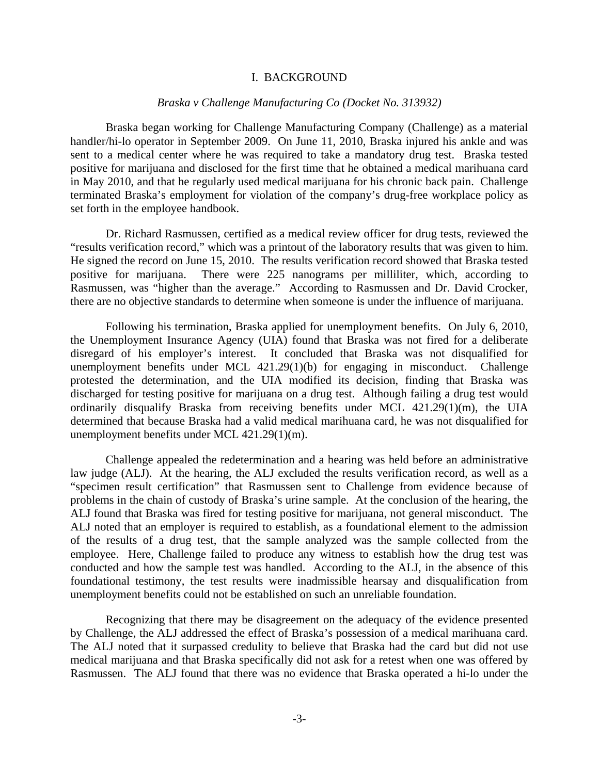#### I. BACKGROUND

# *Braska v Challenge Manufacturing Co (Docket No. 313932)*

 Braska began working for Challenge Manufacturing Company (Challenge) as a material handler/hi-lo operator in September 2009. On June 11, 2010, Braska injured his ankle and was sent to a medical center where he was required to take a mandatory drug test. Braska tested positive for marijuana and disclosed for the first time that he obtained a medical marihuana card in May 2010, and that he regularly used medical marijuana for his chronic back pain. Challenge terminated Braska's employment for violation of the company's drug-free workplace policy as set forth in the employee handbook.

 Dr. Richard Rasmussen, certified as a medical review officer for drug tests, reviewed the "results verification record," which was a printout of the laboratory results that was given to him. He signed the record on June 15, 2010. The results verification record showed that Braska tested positive for marijuana. There were 225 nanograms per milliliter, which, according to Rasmussen, was "higher than the average." According to Rasmussen and Dr. David Crocker, there are no objective standards to determine when someone is under the influence of marijuana.

 Following his termination, Braska applied for unemployment benefits. On July 6, 2010, the Unemployment Insurance Agency (UIA) found that Braska was not fired for a deliberate disregard of his employer's interest. It concluded that Braska was not disqualified for unemployment benefits under MCL 421.29(1)(b) for engaging in misconduct. Challenge protested the determination, and the UIA modified its decision, finding that Braska was discharged for testing positive for marijuana on a drug test. Although failing a drug test would ordinarily disqualify Braska from receiving benefits under MCL 421.29(1)(m), the UIA determined that because Braska had a valid medical marihuana card, he was not disqualified for unemployment benefits under MCL 421.29(1)(m).

 Challenge appealed the redetermination and a hearing was held before an administrative law judge (ALJ). At the hearing, the ALJ excluded the results verification record, as well as a "specimen result certification" that Rasmussen sent to Challenge from evidence because of problems in the chain of custody of Braska's urine sample. At the conclusion of the hearing, the ALJ found that Braska was fired for testing positive for marijuana, not general misconduct. The ALJ noted that an employer is required to establish, as a foundational element to the admission of the results of a drug test, that the sample analyzed was the sample collected from the employee. Here, Challenge failed to produce any witness to establish how the drug test was conducted and how the sample test was handled. According to the ALJ, in the absence of this foundational testimony, the test results were inadmissible hearsay and disqualification from unemployment benefits could not be established on such an unreliable foundation.

 Recognizing that there may be disagreement on the adequacy of the evidence presented by Challenge, the ALJ addressed the effect of Braska's possession of a medical marihuana card. The ALJ noted that it surpassed credulity to believe that Braska had the card but did not use medical marijuana and that Braska specifically did not ask for a retest when one was offered by Rasmussen. The ALJ found that there was no evidence that Braska operated a hi-lo under the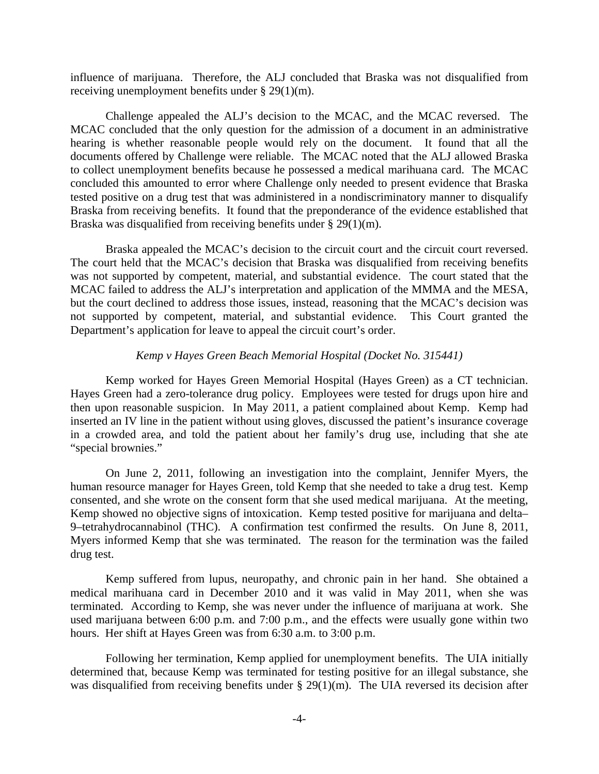influence of marijuana. Therefore, the ALJ concluded that Braska was not disqualified from receiving unemployment benefits under § 29(1)(m).

 Challenge appealed the ALJ's decision to the MCAC, and the MCAC reversed. The MCAC concluded that the only question for the admission of a document in an administrative hearing is whether reasonable people would rely on the document. It found that all the documents offered by Challenge were reliable. The MCAC noted that the ALJ allowed Braska to collect unemployment benefits because he possessed a medical marihuana card. The MCAC concluded this amounted to error where Challenge only needed to present evidence that Braska tested positive on a drug test that was administered in a nondiscriminatory manner to disqualify Braska from receiving benefits. It found that the preponderance of the evidence established that Braska was disqualified from receiving benefits under § 29(1)(m).

 Braska appealed the MCAC's decision to the circuit court and the circuit court reversed. The court held that the MCAC's decision that Braska was disqualified from receiving benefits was not supported by competent, material, and substantial evidence. The court stated that the MCAC failed to address the ALJ's interpretation and application of the MMMA and the MESA, but the court declined to address those issues, instead, reasoning that the MCAC's decision was not supported by competent, material, and substantial evidence. This Court granted the Department's application for leave to appeal the circuit court's order.

# *Kemp v Hayes Green Beach Memorial Hospital (Docket No. 315441)*

 Kemp worked for Hayes Green Memorial Hospital (Hayes Green) as a CT technician. Hayes Green had a zero-tolerance drug policy. Employees were tested for drugs upon hire and then upon reasonable suspicion. In May 2011, a patient complained about Kemp. Kemp had inserted an IV line in the patient without using gloves, discussed the patient's insurance coverage in a crowded area, and told the patient about her family's drug use, including that she ate "special brownies."

 On June 2, 2011, following an investigation into the complaint, Jennifer Myers, the human resource manager for Hayes Green, told Kemp that she needed to take a drug test. Kemp consented, and she wrote on the consent form that she used medical marijuana. At the meeting, Kemp showed no objective signs of intoxication. Kemp tested positive for marijuana and delta– 9–tetrahydrocannabinol (THC). A confirmation test confirmed the results. On June 8, 2011, Myers informed Kemp that she was terminated. The reason for the termination was the failed drug test.

 Kemp suffered from lupus, neuropathy, and chronic pain in her hand. She obtained a medical marihuana card in December 2010 and it was valid in May 2011, when she was terminated. According to Kemp, she was never under the influence of marijuana at work. She used marijuana between 6:00 p.m. and 7:00 p.m., and the effects were usually gone within two hours. Her shift at Hayes Green was from 6:30 a.m. to 3:00 p.m.

 Following her termination, Kemp applied for unemployment benefits. The UIA initially determined that, because Kemp was terminated for testing positive for an illegal substance, she was disqualified from receiving benefits under § 29(1)(m). The UIA reversed its decision after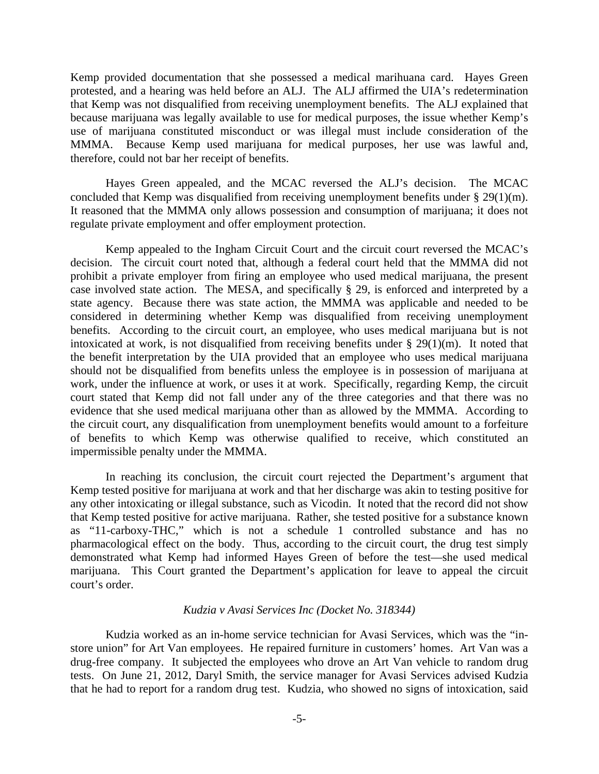Kemp provided documentation that she possessed a medical marihuana card. Hayes Green protested, and a hearing was held before an ALJ. The ALJ affirmed the UIA's redetermination that Kemp was not disqualified from receiving unemployment benefits. The ALJ explained that because marijuana was legally available to use for medical purposes, the issue whether Kemp's use of marijuana constituted misconduct or was illegal must include consideration of the MMMA. Because Kemp used marijuana for medical purposes, her use was lawful and, therefore, could not bar her receipt of benefits.

 Hayes Green appealed, and the MCAC reversed the ALJ's decision. The MCAC concluded that Kemp was disqualified from receiving unemployment benefits under § 29(1)(m). It reasoned that the MMMA only allows possession and consumption of marijuana; it does not regulate private employment and offer employment protection.

 Kemp appealed to the Ingham Circuit Court and the circuit court reversed the MCAC's decision. The circuit court noted that, although a federal court held that the MMMA did not prohibit a private employer from firing an employee who used medical marijuana, the present case involved state action. The MESA, and specifically § 29, is enforced and interpreted by a state agency. Because there was state action, the MMMA was applicable and needed to be considered in determining whether Kemp was disqualified from receiving unemployment benefits. According to the circuit court, an employee, who uses medical marijuana but is not intoxicated at work, is not disqualified from receiving benefits under § 29(1)(m). It noted that the benefit interpretation by the UIA provided that an employee who uses medical marijuana should not be disqualified from benefits unless the employee is in possession of marijuana at work, under the influence at work, or uses it at work. Specifically, regarding Kemp, the circuit court stated that Kemp did not fall under any of the three categories and that there was no evidence that she used medical marijuana other than as allowed by the MMMA. According to the circuit court, any disqualification from unemployment benefits would amount to a forfeiture of benefits to which Kemp was otherwise qualified to receive, which constituted an impermissible penalty under the MMMA.

 In reaching its conclusion, the circuit court rejected the Department's argument that Kemp tested positive for marijuana at work and that her discharge was akin to testing positive for any other intoxicating or illegal substance, such as Vicodin. It noted that the record did not show that Kemp tested positive for active marijuana. Rather, she tested positive for a substance known as "11-carboxy-THC," which is not a schedule 1 controlled substance and has no pharmacological effect on the body. Thus, according to the circuit court, the drug test simply demonstrated what Kemp had informed Hayes Green of before the test—she used medical marijuana. This Court granted the Department's application for leave to appeal the circuit court's order.

#### *Kudzia v Avasi Services Inc (Docket No. 318344)*

 Kudzia worked as an in-home service technician for Avasi Services, which was the "instore union" for Art Van employees. He repaired furniture in customers' homes. Art Van was a drug-free company. It subjected the employees who drove an Art Van vehicle to random drug tests. On June 21, 2012, Daryl Smith, the service manager for Avasi Services advised Kudzia that he had to report for a random drug test. Kudzia, who showed no signs of intoxication, said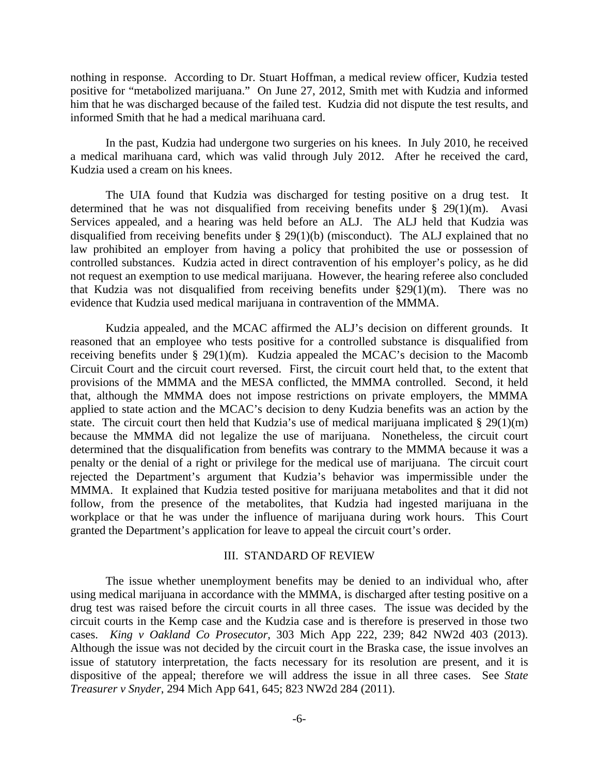nothing in response. According to Dr. Stuart Hoffman, a medical review officer, Kudzia tested positive for "metabolized marijuana." On June 27, 2012, Smith met with Kudzia and informed him that he was discharged because of the failed test. Kudzia did not dispute the test results, and informed Smith that he had a medical marihuana card.

 In the past, Kudzia had undergone two surgeries on his knees. In July 2010, he received a medical marihuana card, which was valid through July 2012. After he received the card, Kudzia used a cream on his knees.

 The UIA found that Kudzia was discharged for testing positive on a drug test. It determined that he was not disqualified from receiving benefits under § 29(1)(m). Avasi Services appealed, and a hearing was held before an ALJ. The ALJ held that Kudzia was disqualified from receiving benefits under § 29(1)(b) (misconduct). The ALJ explained that no law prohibited an employer from having a policy that prohibited the use or possession of controlled substances. Kudzia acted in direct contravention of his employer's policy, as he did not request an exemption to use medical marijuana. However, the hearing referee also concluded that Kudzia was not disqualified from receiving benefits under  $\S29(1)(m)$ . There was no evidence that Kudzia used medical marijuana in contravention of the MMMA.

 Kudzia appealed, and the MCAC affirmed the ALJ's decision on different grounds. It reasoned that an employee who tests positive for a controlled substance is disqualified from receiving benefits under § 29(1)(m). Kudzia appealed the MCAC's decision to the Macomb Circuit Court and the circuit court reversed. First, the circuit court held that, to the extent that provisions of the MMMA and the MESA conflicted, the MMMA controlled. Second, it held that, although the MMMA does not impose restrictions on private employers, the MMMA applied to state action and the MCAC's decision to deny Kudzia benefits was an action by the state. The circuit court then held that Kudzia's use of medical marijuana implicated  $\S 29(1)(m)$ because the MMMA did not legalize the use of marijuana. Nonetheless, the circuit court determined that the disqualification from benefits was contrary to the MMMA because it was a penalty or the denial of a right or privilege for the medical use of marijuana. The circuit court rejected the Department's argument that Kudzia's behavior was impermissible under the MMMA. It explained that Kudzia tested positive for marijuana metabolites and that it did not follow, from the presence of the metabolites, that Kudzia had ingested marijuana in the workplace or that he was under the influence of marijuana during work hours. This Court granted the Department's application for leave to appeal the circuit court's order.

### III. STANDARD OF REVIEW

 The issue whether unemployment benefits may be denied to an individual who, after using medical marijuana in accordance with the MMMA, is discharged after testing positive on a drug test was raised before the circuit courts in all three cases. The issue was decided by the circuit courts in the Kemp case and the Kudzia case and is therefore is preserved in those two cases. *King v Oakland Co Prosecutor*, 303 Mich App 222, 239; 842 NW2d 403 (2013). Although the issue was not decided by the circuit court in the Braska case, the issue involves an issue of statutory interpretation, the facts necessary for its resolution are present, and it is dispositive of the appeal; therefore we will address the issue in all three cases. See *State Treasurer v Snyder*, 294 Mich App 641, 645; 823 NW2d 284 (2011).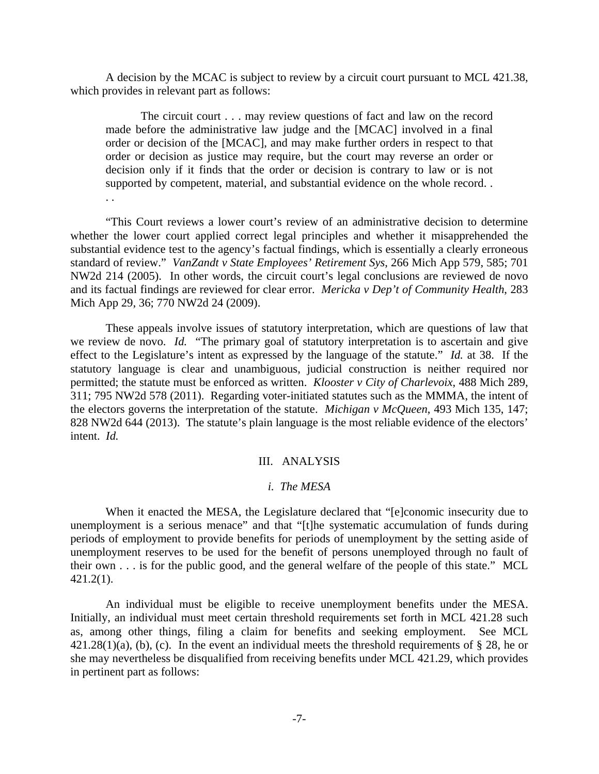A decision by the MCAC is subject to review by a circuit court pursuant to MCL 421.38, which provides in relevant part as follows:

 The circuit court . . . may review questions of fact and law on the record made before the administrative law judge and the [MCAC] involved in a final order or decision of the [MCAC], and may make further orders in respect to that order or decision as justice may require, but the court may reverse an order or decision only if it finds that the order or decision is contrary to law or is not supported by competent, material, and substantial evidence on the whole record. .

. .

 "This Court reviews a lower court's review of an administrative decision to determine whether the lower court applied correct legal principles and whether it misapprehended the substantial evidence test to the agency's factual findings, which is essentially a clearly erroneous standard of review." *VanZandt v State Employees' Retirement Sys*, 266 Mich App 579, 585; 701 NW2d 214 (2005). In other words, the circuit court's legal conclusions are reviewed de novo and its factual findings are reviewed for clear error. *Mericka v Dep't of Community Health*, 283 Mich App 29, 36; 770 NW2d 24 (2009).

 These appeals involve issues of statutory interpretation, which are questions of law that we review de novo. *Id.* "The primary goal of statutory interpretation is to ascertain and give effect to the Legislature's intent as expressed by the language of the statute." *Id.* at 38. If the statutory language is clear and unambiguous, judicial construction is neither required nor permitted; the statute must be enforced as written. *Klooster v City of Charlevoix*, 488 Mich 289, 311; 795 NW2d 578 (2011). Regarding voter-initiated statutes such as the MMMA, the intent of the electors governs the interpretation of the statute. *Michigan v McQueen*, 493 Mich 135, 147; 828 NW2d 644 (2013). The statute's plain language is the most reliable evidence of the electors' intent. *Id.*

# III. ANALYSIS

# *i. The MESA*

When it enacted the MESA, the Legislature declared that "[e]conomic insecurity due to unemployment is a serious menace" and that "[t]he systematic accumulation of funds during periods of employment to provide benefits for periods of unemployment by the setting aside of unemployment reserves to be used for the benefit of persons unemployed through no fault of their own . . . is for the public good, and the general welfare of the people of this state." MCL 421.2(1).

 An individual must be eligible to receive unemployment benefits under the MESA. Initially, an individual must meet certain threshold requirements set forth in MCL 421.28 such as, among other things, filing a claim for benefits and seeking employment. See MCL  $421.28(1)(a)$ , (b), (c). In the event an individual meets the threshold requirements of § 28, he or she may nevertheless be disqualified from receiving benefits under MCL 421.29, which provides in pertinent part as follows: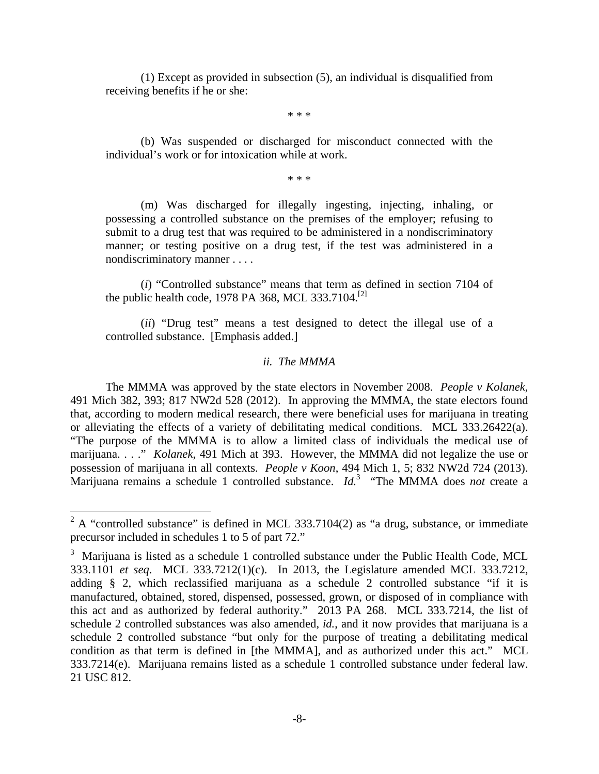(1) Except as provided in subsection (5), an individual is disqualified from receiving benefits if he or she:

\* \* \*

 (b) Was suspended or discharged for misconduct connected with the individual's work or for intoxication while at work.

\* \* \*

 (m) Was discharged for illegally ingesting, injecting, inhaling, or possessing a controlled substance on the premises of the employer; refusing to submit to a drug test that was required to be administered in a nondiscriminatory manner; or testing positive on a drug test, if the test was administered in a nondiscriminatory manner . . . .

 (*i*) "Controlled substance" means that term as defined in section 7104 of the public health code, 1978 PA 368, MCL 333.7104.<sup>[2]</sup>

 (*ii*) "Drug test" means a test designed to detect the illegal use of a controlled substance. [Emphasis added.]

# *ii. The MMMA*

 The MMMA was approved by the state electors in November 2008. *People v Kolanek*, 491 Mich 382, 393; 817 NW2d 528 (2012). In approving the MMMA, the state electors found that, according to modern medical research, there were beneficial uses for marijuana in treating or alleviating the effects of a variety of debilitating medical conditions. MCL 333.26422(a). "The purpose of the MMMA is to allow a limited class of individuals the medical use of marijuana. . . ." *Kolanek*, 491 Mich at 393. However, the MMMA did not legalize the use or possession of marijuana in all contexts. *People v Koon*, 494 Mich 1, 5; 832 NW2d 724 (2013). Marijuana remains a schedule 1 controlled substance. *Id.*<sup>3</sup> "The MMMA does *not* create a

<sup>&</sup>lt;sup>2</sup> A "controlled substance" is defined in MCL 333.7104(2) as "a drug, substance, or immediate precursor included in schedules 1 to 5 of part 72."

 $3$  Marijuana is listed as a schedule 1 controlled substance under the Public Health Code, MCL 333.1101 *et seq*. MCL 333.7212(1)(c). In 2013, the Legislature amended MCL 333.7212, adding § 2, which reclassified marijuana as a schedule 2 controlled substance "if it is manufactured, obtained, stored, dispensed, possessed, grown, or disposed of in compliance with this act and as authorized by federal authority." 2013 PA 268. MCL 333.7214, the list of schedule 2 controlled substances was also amended, *id.*, and it now provides that marijuana is a schedule 2 controlled substance "but only for the purpose of treating a debilitating medical condition as that term is defined in [the MMMA], and as authorized under this act." MCL 333.7214(e). Marijuana remains listed as a schedule 1 controlled substance under federal law. 21 USC 812.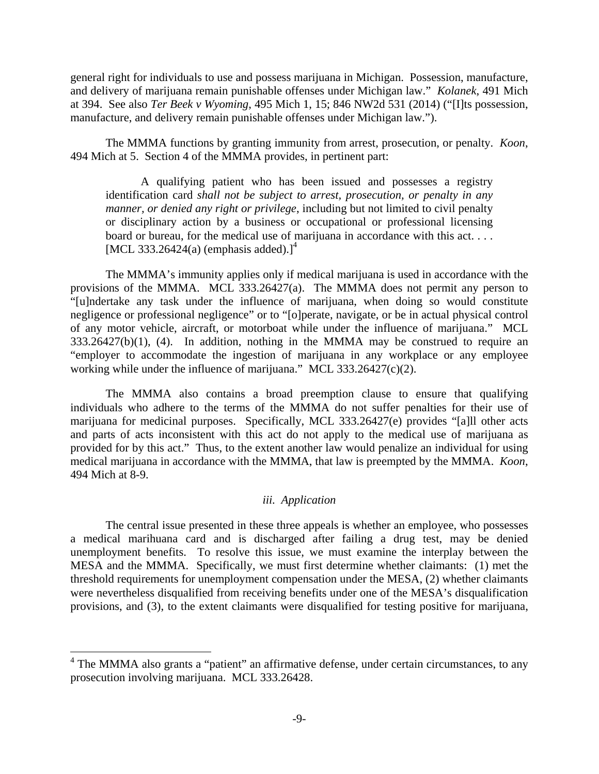general right for individuals to use and possess marijuana in Michigan. Possession, manufacture, and delivery of marijuana remain punishable offenses under Michigan law." *Kolanek*, 491 Mich at 394. See also *Ter Beek v Wyoming*, 495 Mich 1, 15; 846 NW2d 531 (2014) ("[I]ts possession, manufacture, and delivery remain punishable offenses under Michigan law.").

 The MMMA functions by granting immunity from arrest, prosecution, or penalty. *Koon*, 494 Mich at 5. Section 4 of the MMMA provides, in pertinent part:

 A qualifying patient who has been issued and possesses a registry identification card *shall not be subject to arrest, prosecution, or penalty in any manner, or denied any right or privilege*, including but not limited to civil penalty or disciplinary action by a business or occupational or professional licensing board or bureau, for the medical use of marijuana in accordance with this act. . . . [MCL 333.26424(a) (emphasis added).]<sup>4</sup>

 The MMMA's immunity applies only if medical marijuana is used in accordance with the provisions of the MMMA. MCL 333.26427(a). The MMMA does not permit any person to "[u]ndertake any task under the influence of marijuana, when doing so would constitute negligence or professional negligence" or to "[o]perate, navigate, or be in actual physical control of any motor vehicle, aircraft, or motorboat while under the influence of marijuana." MCL  $333.26427(b)(1)$ , (4). In addition, nothing in the MMMA may be construed to require an "employer to accommodate the ingestion of marijuana in any workplace or any employee working while under the influence of marijuana." MCL 333.26427(c)(2).

 The MMMA also contains a broad preemption clause to ensure that qualifying individuals who adhere to the terms of the MMMA do not suffer penalties for their use of marijuana for medicinal purposes. Specifically, MCL 333.26427(e) provides "[a]ll other acts and parts of acts inconsistent with this act do not apply to the medical use of marijuana as provided for by this act." Thus, to the extent another law would penalize an individual for using medical marijuana in accordance with the MMMA, that law is preempted by the MMMA. *Koon*, 494 Mich at 8-9.

# *iii. Application*

 The central issue presented in these three appeals is whether an employee, who possesses a medical marihuana card and is discharged after failing a drug test, may be denied unemployment benefits. To resolve this issue, we must examine the interplay between the MESA and the MMMA. Specifically, we must first determine whether claimants: (1) met the threshold requirements for unemployment compensation under the MESA, (2) whether claimants were nevertheless disqualified from receiving benefits under one of the MESA's disqualification provisions, and (3), to the extent claimants were disqualified for testing positive for marijuana,

 $\overline{a}$ 

<sup>&</sup>lt;sup>4</sup> The MMMA also grants a "patient" an affirmative defense, under certain circumstances, to any prosecution involving marijuana. MCL 333.26428.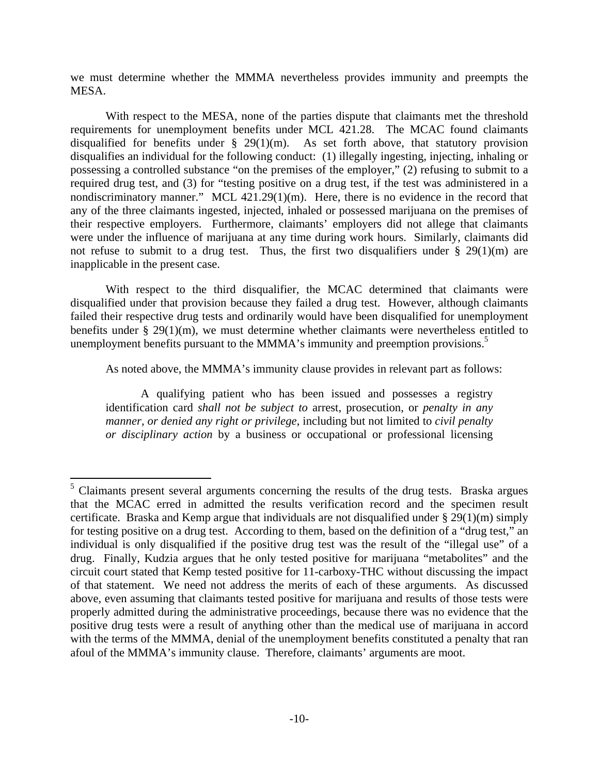we must determine whether the MMMA nevertheless provides immunity and preempts the MESA.

 With respect to the MESA, none of the parties dispute that claimants met the threshold requirements for unemployment benefits under MCL 421.28. The MCAC found claimants disqualified for benefits under  $\S$  29(1)(m). As set forth above, that statutory provision disqualifies an individual for the following conduct: (1) illegally ingesting, injecting, inhaling or possessing a controlled substance "on the premises of the employer," (2) refusing to submit to a required drug test, and (3) for "testing positive on a drug test, if the test was administered in a nondiscriminatory manner." MCL 421.29(1)(m). Here, there is no evidence in the record that any of the three claimants ingested, injected, inhaled or possessed marijuana on the premises of their respective employers. Furthermore, claimants' employers did not allege that claimants were under the influence of marijuana at any time during work hours. Similarly, claimants did not refuse to submit to a drug test. Thus, the first two disqualifiers under  $\S$  29(1)(m) are inapplicable in the present case.

 With respect to the third disqualifier, the MCAC determined that claimants were disqualified under that provision because they failed a drug test. However, although claimants failed their respective drug tests and ordinarily would have been disqualified for unemployment benefits under § 29(1)(m), we must determine whether claimants were nevertheless entitled to unemployment benefits pursuant to the MMMA's immunity and preemption provisions.<sup>5</sup>

As noted above, the MMMA's immunity clause provides in relevant part as follows:

 A qualifying patient who has been issued and possesses a registry identification card *shall not be subject to* arrest, prosecution, or *penalty in any manner, or denied any right or privilege*, including but not limited to *civil penalty or disciplinary action* by a business or occupational or professional licensing

<sup>1</sup> <sup>5</sup> Claimants present several arguments concerning the results of the drug tests. Braska argues that the MCAC erred in admitted the results verification record and the specimen result certificate. Braska and Kemp argue that individuals are not disqualified under § 29(1)(m) simply for testing positive on a drug test. According to them, based on the definition of a "drug test," an individual is only disqualified if the positive drug test was the result of the "illegal use" of a drug. Finally, Kudzia argues that he only tested positive for marijuana "metabolites" and the circuit court stated that Kemp tested positive for 11-carboxy-THC without discussing the impact of that statement. We need not address the merits of each of these arguments. As discussed above, even assuming that claimants tested positive for marijuana and results of those tests were properly admitted during the administrative proceedings, because there was no evidence that the positive drug tests were a result of anything other than the medical use of marijuana in accord with the terms of the MMMA, denial of the unemployment benefits constituted a penalty that ran afoul of the MMMA's immunity clause. Therefore, claimants' arguments are moot.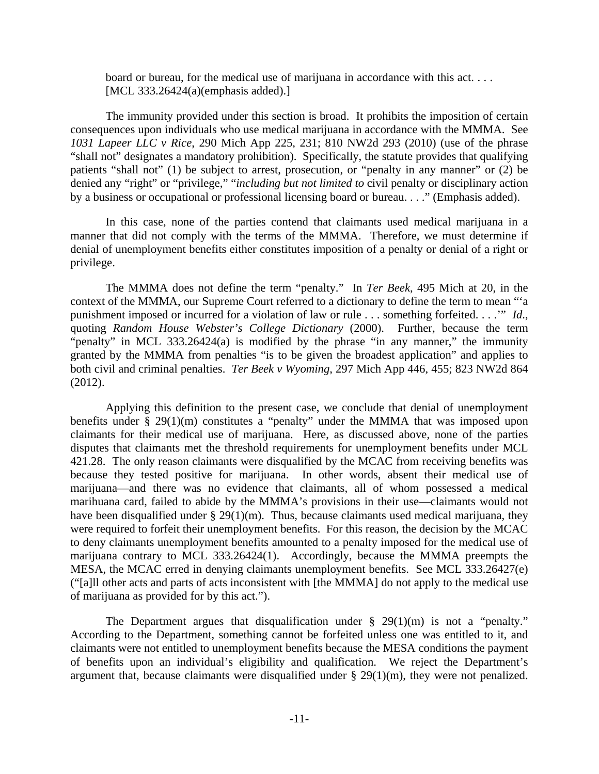board or bureau, for the medical use of marijuana in accordance with this act. . . . [MCL 333.26424(a)(emphasis added).]

 The immunity provided under this section is broad. It prohibits the imposition of certain consequences upon individuals who use medical marijuana in accordance with the MMMA. See *1031 Lapeer LLC v Rice*, 290 Mich App 225, 231; 810 NW2d 293 (2010) (use of the phrase "shall not" designates a mandatory prohibition). Specifically, the statute provides that qualifying patients "shall not" (1) be subject to arrest, prosecution, or "penalty in any manner" or (2) be denied any "right" or "privilege," "*including but not limited to* civil penalty or disciplinary action by a business or occupational or professional licensing board or bureau. . . ." (Emphasis added).

 In this case, none of the parties contend that claimants used medical marijuana in a manner that did not comply with the terms of the MMMA. Therefore, we must determine if denial of unemployment benefits either constitutes imposition of a penalty or denial of a right or privilege.

 The MMMA does not define the term "penalty." In *Ter Beek*, 495 Mich at 20, in the context of the MMMA, our Supreme Court referred to a dictionary to define the term to mean "'a punishment imposed or incurred for a violation of law or rule . . . something forfeited. . . .'" *Id*., quoting *Random House Webster's College Dictionary* (2000). Further, because the term "penalty" in MCL 333.26424(a) is modified by the phrase "in any manner," the immunity granted by the MMMA from penalties "is to be given the broadest application" and applies to both civil and criminal penalties. *Ter Beek v Wyoming*, 297 Mich App 446, 455; 823 NW2d 864 (2012).

 Applying this definition to the present case, we conclude that denial of unemployment benefits under § 29(1)(m) constitutes a "penalty" under the MMMA that was imposed upon claimants for their medical use of marijuana. Here, as discussed above, none of the parties disputes that claimants met the threshold requirements for unemployment benefits under MCL 421.28. The only reason claimants were disqualified by the MCAC from receiving benefits was because they tested positive for marijuana. In other words, absent their medical use of marijuana—and there was no evidence that claimants, all of whom possessed a medical marihuana card, failed to abide by the MMMA's provisions in their use—claimants would not have been disqualified under  $\S 29(1)(m)$ . Thus, because claimants used medical marijuana, they were required to forfeit their unemployment benefits. For this reason, the decision by the MCAC to deny claimants unemployment benefits amounted to a penalty imposed for the medical use of marijuana contrary to MCL 333.26424(1). Accordingly, because the MMMA preempts the MESA, the MCAC erred in denying claimants unemployment benefits. See MCL 333.26427(e) ("[a]ll other acts and parts of acts inconsistent with [the MMMA] do not apply to the medical use of marijuana as provided for by this act.").

The Department argues that disqualification under  $\S$  29(1)(m) is not a "penalty." According to the Department, something cannot be forfeited unless one was entitled to it, and claimants were not entitled to unemployment benefits because the MESA conditions the payment of benefits upon an individual's eligibility and qualification. We reject the Department's argument that, because claimants were disqualified under § 29(1)(m), they were not penalized.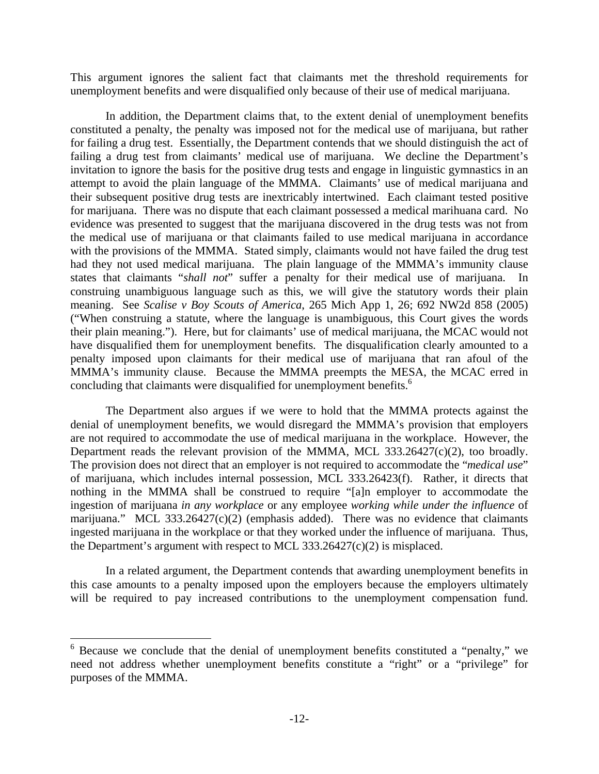This argument ignores the salient fact that claimants met the threshold requirements for unemployment benefits and were disqualified only because of their use of medical marijuana.

 In addition, the Department claims that, to the extent denial of unemployment benefits constituted a penalty, the penalty was imposed not for the medical use of marijuana, but rather for failing a drug test. Essentially, the Department contends that we should distinguish the act of failing a drug test from claimants' medical use of marijuana. We decline the Department's invitation to ignore the basis for the positive drug tests and engage in linguistic gymnastics in an attempt to avoid the plain language of the MMMA. Claimants' use of medical marijuana and their subsequent positive drug tests are inextricably intertwined. Each claimant tested positive for marijuana. There was no dispute that each claimant possessed a medical marihuana card. No evidence was presented to suggest that the marijuana discovered in the drug tests was not from the medical use of marijuana or that claimants failed to use medical marijuana in accordance with the provisions of the MMMA. Stated simply, claimants would not have failed the drug test had they not used medical marijuana. The plain language of the MMMA's immunity clause states that claimants "*shall not*" suffer a penalty for their medical use of marijuana. In construing unambiguous language such as this, we will give the statutory words their plain meaning. See *Scalise v Boy Scouts of America*, 265 Mich App 1, 26; 692 NW2d 858 (2005) ("When construing a statute, where the language is unambiguous, this Court gives the words their plain meaning."). Here, but for claimants' use of medical marijuana, the MCAC would not have disqualified them for unemployment benefits. The disqualification clearly amounted to a penalty imposed upon claimants for their medical use of marijuana that ran afoul of the MMMA's immunity clause. Because the MMMA preempts the MESA, the MCAC erred in concluding that claimants were disqualified for unemployment benefits.<sup>6</sup>

 The Department also argues if we were to hold that the MMMA protects against the denial of unemployment benefits, we would disregard the MMMA's provision that employers are not required to accommodate the use of medical marijuana in the workplace. However, the Department reads the relevant provision of the MMMA, MCL 333.26427(c)(2), too broadly. The provision does not direct that an employer is not required to accommodate the "*medical use*" of marijuana, which includes internal possession, MCL 333.26423(f). Rather, it directs that nothing in the MMMA shall be construed to require "[a]n employer to accommodate the ingestion of marijuana *in any workplace* or any employee *working while under the influence* of marijuana." MCL 333.26427(c)(2) (emphasis added). There was no evidence that claimants ingested marijuana in the workplace or that they worked under the influence of marijuana. Thus, the Department's argument with respect to MCL 333.26427(c)(2) is misplaced.

 In a related argument, the Department contends that awarding unemployment benefits in this case amounts to a penalty imposed upon the employers because the employers ultimately will be required to pay increased contributions to the unemployment compensation fund.

1

<sup>&</sup>lt;sup>6</sup> Because we conclude that the denial of unemployment benefits constituted a "penalty," we need not address whether unemployment benefits constitute a "right" or a "privilege" for purposes of the MMMA.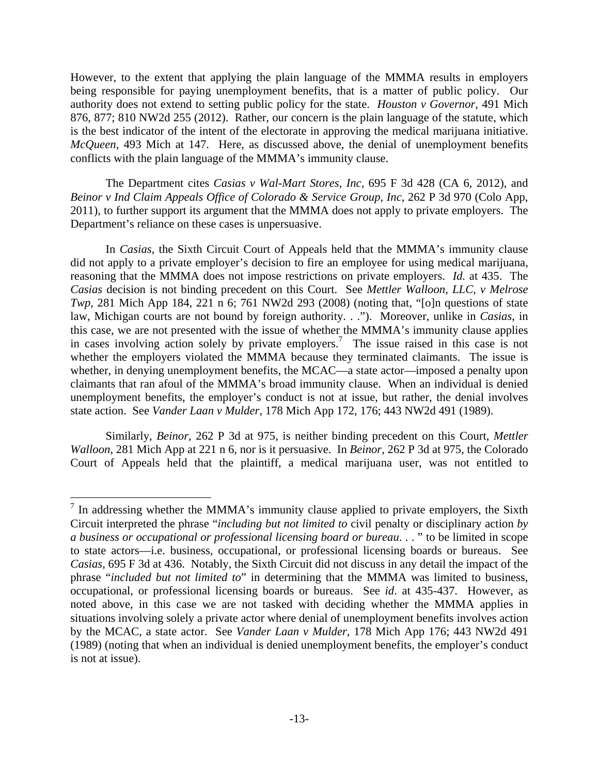However, to the extent that applying the plain language of the MMMA results in employers being responsible for paying unemployment benefits, that is a matter of public policy. Our authority does not extend to setting public policy for the state. *Houston v Governor*, 491 Mich 876, 877; 810 NW2d 255 (2012). Rather, our concern is the plain language of the statute, which is the best indicator of the intent of the electorate in approving the medical marijuana initiative. *McQueen*, 493 Mich at 147. Here, as discussed above, the denial of unemployment benefits conflicts with the plain language of the MMMA's immunity clause.

 The Department cites *Casias v Wal-Mart Stores, Inc*, 695 F 3d 428 (CA 6, 2012), and *Beinor v Ind Claim Appeals Office of Colorado & Service Group, Inc*, 262 P 3d 970 (Colo App, 2011), to further support its argument that the MMMA does not apply to private employers. The Department's reliance on these cases is unpersuasive.

 In *Casias*, the Sixth Circuit Court of Appeals held that the MMMA's immunity clause did not apply to a private employer's decision to fire an employee for using medical marijuana, reasoning that the MMMA does not impose restrictions on private employers. *Id.* at 435. The *Casias* decision is not binding precedent on this Court. See *Mettler Walloon, LLC, v Melrose Twp*, 281 Mich App 184, 221 n 6; 761 NW2d 293 (2008) (noting that, "[o]n questions of state law, Michigan courts are not bound by foreign authority. . ."). Moreover, unlike in *Casias*, in this case, we are not presented with the issue of whether the MMMA's immunity clause applies in cases involving action solely by private employers.<sup>7</sup> The issue raised in this case is not whether the employers violated the MMMA because they terminated claimants. The issue is whether, in denying unemployment benefits, the MCAC—a state actor—imposed a penalty upon claimants that ran afoul of the MMMA's broad immunity clause. When an individual is denied unemployment benefits, the employer's conduct is not at issue, but rather, the denial involves state action. See *Vander Laan v Mulder*, 178 Mich App 172, 176; 443 NW2d 491 (1989).

 Similarly, *Beinor*, 262 P 3d at 975, is neither binding precedent on this Court, *Mettler Walloon*, 281 Mich App at 221 n 6, nor is it persuasive. In *Beinor*, 262 P 3d at 975, the Colorado Court of Appeals held that the plaintiff, a medical marijuana user, was not entitled to

<sup>&</sup>lt;sup>7</sup> In addressing whether the MMMA's immunity clause applied to private employers, the Sixth Circuit interpreted the phrase "*including but not limited to* civil penalty or disciplinary action *by a business or occupational or professional licensing board or bureau*. . . " to be limited in scope to state actors—i.e. business, occupational, or professional licensing boards or bureaus. See *Casias*, 695 F 3d at 436. Notably, the Sixth Circuit did not discuss in any detail the impact of the phrase "*included but not limited to*" in determining that the MMMA was limited to business, occupational, or professional licensing boards or bureaus. See *id*. at 435-437. However, as noted above, in this case we are not tasked with deciding whether the MMMA applies in situations involving solely a private actor where denial of unemployment benefits involves action by the MCAC, a state actor. See *Vander Laan v Mulder*, 178 Mich App 176; 443 NW2d 491 (1989) (noting that when an individual is denied unemployment benefits, the employer's conduct is not at issue).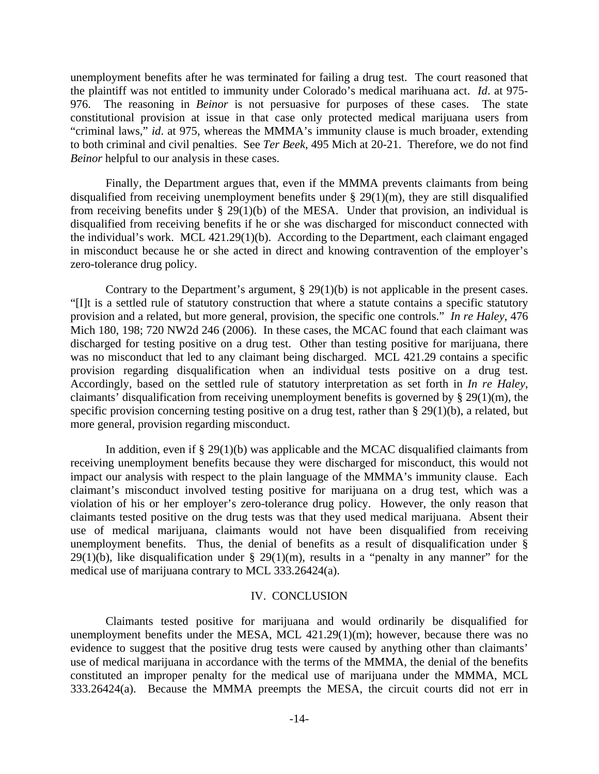unemployment benefits after he was terminated for failing a drug test. The court reasoned that the plaintiff was not entitled to immunity under Colorado's medical marihuana act. *Id*. at 975- 976. The reasoning in *Beinor* is not persuasive for purposes of these cases. The state constitutional provision at issue in that case only protected medical marijuana users from "criminal laws," *id*. at 975, whereas the MMMA's immunity clause is much broader, extending to both criminal and civil penalties. See *Ter Beek*, 495 Mich at 20-21. Therefore, we do not find *Beinor* helpful to our analysis in these cases.

 Finally, the Department argues that, even if the MMMA prevents claimants from being disqualified from receiving unemployment benefits under § 29(1)(m), they are still disqualified from receiving benefits under § 29(1)(b) of the MESA. Under that provision, an individual is disqualified from receiving benefits if he or she was discharged for misconduct connected with the individual's work. MCL 421.29(1)(b). According to the Department, each claimant engaged in misconduct because he or she acted in direct and knowing contravention of the employer's zero-tolerance drug policy.

 Contrary to the Department's argument, § 29(1)(b) is not applicable in the present cases. "[I]t is a settled rule of statutory construction that where a statute contains a specific statutory provision and a related, but more general, provision, the specific one controls." *In re Haley*, 476 Mich 180, 198; 720 NW2d 246 (2006). In these cases, the MCAC found that each claimant was discharged for testing positive on a drug test. Other than testing positive for marijuana, there was no misconduct that led to any claimant being discharged. MCL 421.29 contains a specific provision regarding disqualification when an individual tests positive on a drug test. Accordingly, based on the settled rule of statutory interpretation as set forth in *In re Haley*, claimants' disqualification from receiving unemployment benefits is governed by § 29(1)(m), the specific provision concerning testing positive on a drug test, rather than § 29(1)(b), a related, but more general, provision regarding misconduct.

In addition, even if  $\S 29(1)(b)$  was applicable and the MCAC disqualified claimants from receiving unemployment benefits because they were discharged for misconduct, this would not impact our analysis with respect to the plain language of the MMMA's immunity clause. Each claimant's misconduct involved testing positive for marijuana on a drug test, which was a violation of his or her employer's zero-tolerance drug policy. However, the only reason that claimants tested positive on the drug tests was that they used medical marijuana. Absent their use of medical marijuana, claimants would not have been disqualified from receiving unemployment benefits. Thus, the denial of benefits as a result of disqualification under § 29(1)(b), like disqualification under  $\S$  29(1)(m), results in a "penalty in any manner" for the medical use of marijuana contrary to MCL 333.26424(a).

# IV. CONCLUSION

 Claimants tested positive for marijuana and would ordinarily be disqualified for unemployment benefits under the MESA, MCL 421.29(1)(m); however, because there was no evidence to suggest that the positive drug tests were caused by anything other than claimants' use of medical marijuana in accordance with the terms of the MMMA, the denial of the benefits constituted an improper penalty for the medical use of marijuana under the MMMA, MCL 333.26424(a). Because the MMMA preempts the MESA, the circuit courts did not err in